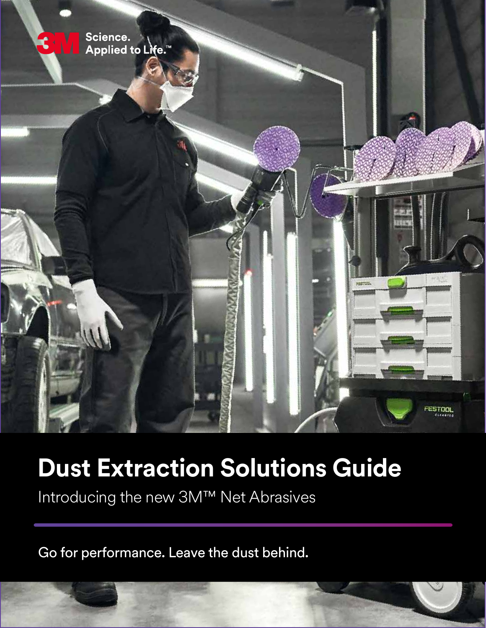

## **Dust Extraction Solutions Guide**

Introducing the new 3M™ Net Abrasives

Go for performance. Leave the dust behind.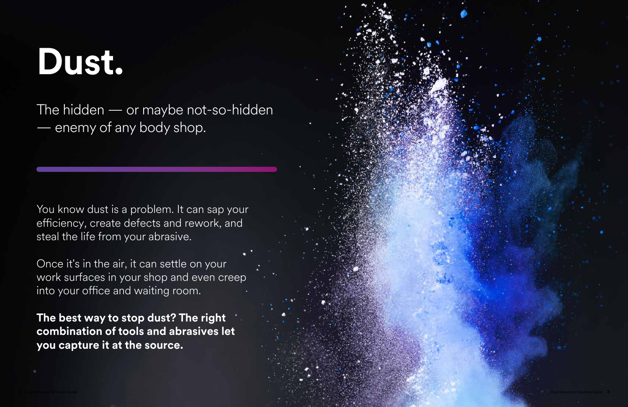

# **Dust.**

The hidden — or maybe not-so-hidden enemy of any body shop.

You know dust is a problem. It can sap your efficiency, create defects and rework, and steal the life from your abrasive.

Once it's in the air, it can settle on your work surfaces in your shop and even creep into your office and waiting room.

**The best way to stop dust? The right combination of tools and abrasives let you capture it at the source.**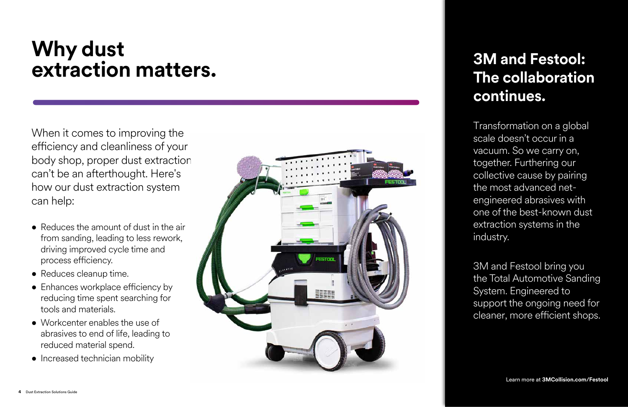# **Why dust extraction matters. 3M and Festool:**

# **The collaboration continues.**

Transformation on a global scale doesn't occur in a vacuum. So we carry on, together. Furthering our collective cause by pairing the most advanced netengineered abrasives with one of the best-known dust extraction systems in the industry.

- Reduces the amount of dust in the air from sanding, leading to less rework, driving improved cycle time and process efficiency.
- Reduces cleanup time.
- Enhances workplace efficiency by reducing time spent searching for tools and materials.
- Workcenter enables the use of abrasives to end of life, leading to reduced material spend.
- Increased technician mobility



3M and Festool bring you the Total Automotive Sanding System. Engineered to support the ongoing need for cleaner, more efficient shops.

When it comes to improving the efficiency and cleanliness of your body shop, proper dust extraction can't be an afterthought. Here's how our dust extraction system can help: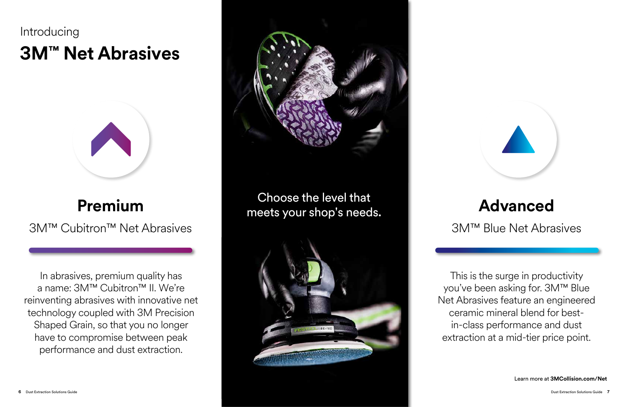Choose the level that meets your shop's needs.





Learn more at **3MCollision.com/Net**

## **3M™ Net Abrasives Introducing**



## **Premium**

3M™ Cubitron™ Net Abrasives

## **Advanced**

### 3M™ Blue Net Abrasives

In abrasives, premium quality has a name: 3M™ Cubitron™ II. We're reinventing abrasives with innovative net technology coupled with 3M Precision Shaped Grain, so that you no longer have to compromise between peak performance and dust extraction.



This is the surge in productivity you've been asking for. 3M™ Blue Net Abrasives feature an engineered ceramic mineral blend for bestin-class performance and dust extraction at a mid-tier price point.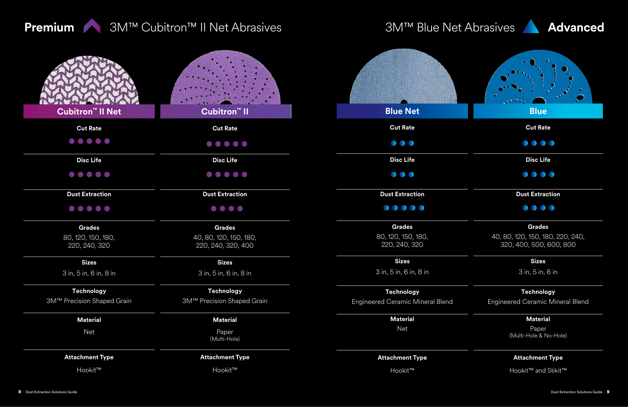

## **Premium** 3M™ Cubitron™ II Net Abrasives 3M™ Blue Net Abrasives Advanced

| Cubitron <sup>™</sup> II Net                                                                                       | Cubitron <sup>™</sup> II                                                                                           | <b>Blue Net</b>                         |
|--------------------------------------------------------------------------------------------------------------------|--------------------------------------------------------------------------------------------------------------------|-----------------------------------------|
| <b>Cut Rate</b>                                                                                                    | <b>Cut Rate</b>                                                                                                    | <b>Cut Rate</b>                         |
|                                                                                                                    |                                                                                                                    | $\bullet$ $\bullet$                     |
| <b>Disc Life</b>                                                                                                   | <b>Disc Life</b>                                                                                                   | <b>Disc Life</b>                        |
| $\begin{array}{ccccccccccccccccc} \bullet & \bullet & \bullet & \bullet & \bullet & \bullet & \bullet \end{array}$ | $\begin{array}{ccccccccccccccccc} \bullet & \bullet & \bullet & \bullet & \bullet & \bullet & \bullet \end{array}$ | $\bullet\bullet\bullet$                 |
| <b>Dust Extraction</b>                                                                                             | <b>Dust Extraction</b>                                                                                             | <b>Dust Extraction</b>                  |
|                                                                                                                    | $\bullet\bullet\bullet\bullet$                                                                                     | $\bullet\bullet\bullet\bullet\bullet$   |
| <b>Grades</b>                                                                                                      | <b>Grades</b>                                                                                                      | <b>Grades</b>                           |
| 80, 120, 150, 180,<br>220, 240, 320                                                                                | 40, 80, 120, 150, 180,<br>220, 240, 320, 400                                                                       | 80, 120, 150, 180,<br>220, 240, 320     |
| <b>Sizes</b>                                                                                                       | <b>Sizes</b>                                                                                                       | <b>Sizes</b>                            |
| 3 in, 5 in, 6 in, 8 in                                                                                             | 3 in, 5 in, 6 in, 8 in                                                                                             | 3 in, 5 in, 6 in, 8 in                  |
| <b>Technology</b>                                                                                                  | <b>Technology</b>                                                                                                  | <b>Technology</b>                       |
| 3M™ Precision Shaped Grain                                                                                         | 3M™ Precision Shaped Grain                                                                                         | <b>Engineered Ceramic Mineral Blend</b> |
| <b>Material</b>                                                                                                    | <b>Material</b>                                                                                                    | <b>Material</b>                         |
| <b>Net</b>                                                                                                         | Paper<br>(Multi-Hole)                                                                                              | <b>Net</b>                              |
| <b>Attachment Type</b>                                                                                             | <b>Attachment Type</b>                                                                                             | <b>Attachment Type</b>                  |
| Hookit™                                                                                                            | Hookit™                                                                                                            | Hookit™                                 |

Paper (Multi-Hole & No-Hole)



3 in, 5 in, 6 in

### **Technology Technology**

Engineered Ceramic Mineral Blend

### **Material Material**

### **Attachment Type Attachment Type**

Hookit™ and Stikit™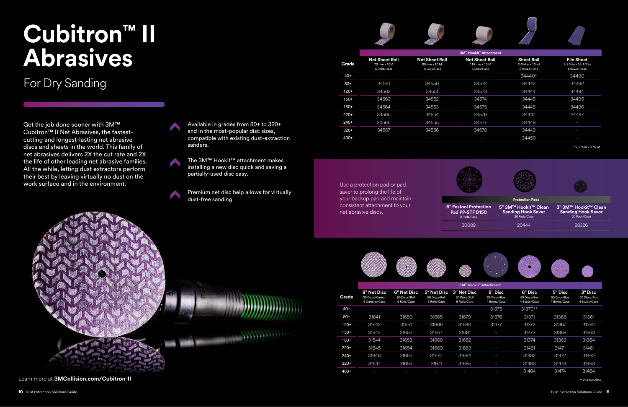Get the job done sooner with 3M™ Cubitron™ II Net Abrasives, the fastestcutting and longest-lasting net abrasive discs and sheets in the world. This family of net abrasives delivers 2X the cut rate and 2X the life of other leading net abrasive families. All the while, letting dust extractors perform their best by leaving virtually no dust on the work surface and in the environment.

# **Cubitron™ II Abrasives**

### For Dry Sanding

Available in grades from 80+ to 320+ and in the most-popular disc sizes, compatible with existing dust-extraction sanders.

The 3M™ Hookit™ attachment makes installing a new disc quick and saving a partially-used disc easy.

Premium net disc help allows for virtually dust-free sanding

|        | 3M™ Hookit™ Attachment                           |                                                     |                                              |                                                     |                                         |                                         |                                         |                                         |
|--------|--------------------------------------------------|-----------------------------------------------------|----------------------------------------------|-----------------------------------------------------|-----------------------------------------|-----------------------------------------|-----------------------------------------|-----------------------------------------|
| Grade  | 8" Net Disc<br>25 Discs/Carton<br>6 Cartons/Case | <b>6" Net Disc</b><br>50 Discs/Roll<br>6 Rolls/Case | 5" Net Disc<br>50 Discs/Roll<br>6 Rolls/Case | <b>3" Net Disc</b><br>50 Discs/Roll<br>6 Rolls/Case | 8" Disc<br>25 Discs/Box<br>4 Boxes/Case | 6" Disc<br>50 Discs/Box<br>4 Boxes/Case | 5" Disc<br>50 Discs/Box<br>4 Boxes/Case | 3" Disc<br>50 Discs/Box<br>4 Boxes/Case |
| $40+$  |                                                  |                                                     |                                              |                                                     | 31375                                   | 31370**                                 |                                         |                                         |
| $80+$  | 31641                                            | 31650                                               | 31665                                        | 31679                                               | 31376                                   | 31371                                   | 31366                                   | 31361                                   |
| $120+$ | 31642                                            | 31651                                               | 31666                                        | 31680                                               | 31377                                   | 31372                                   | 31367                                   | 31362                                   |
| $150+$ | 31643                                            | 31652                                               | 31667                                        | 31681                                               | I                                       | 31373                                   | 31368                                   | 31363                                   |
| $180+$ | 31644                                            | 31653                                               | 31668                                        | 31682                                               | ı                                       | 31374                                   | 31369                                   | 31364                                   |
| $220+$ | 31645                                            | 31654                                               | 31669                                        | 31683                                               | Ξ                                       | 31481                                   | 31471                                   | 31461                                   |
| $240+$ | 31646                                            | 31655                                               | 31670                                        | 31684                                               |                                         | 31482                                   | 31472                                   | 31462                                   |
| $320+$ | 31647                                            | 31656                                               | 31671                                        | 31685                                               | I                                       | 31483                                   | 31473                                   | 31463                                   |
| $400+$ |                                                  |                                                     |                                              |                                                     | I                                       | 31484                                   | 31474                                   | 31464                                   |

\*\* 25 Discs/Box

|        | <b>3M™ Hookit™ Attachment</b>                        |                                                       |                                                               |                                                       |                                                           |  |  |  |  |
|--------|------------------------------------------------------|-------------------------------------------------------|---------------------------------------------------------------|-------------------------------------------------------|-----------------------------------------------------------|--|--|--|--|
| Grade  | <b>Net Sheet Roll</b><br>70 mm x 10M<br>6 Rolls/Case | <b>Net Sheet Roll</b><br>80 mm x 10 M<br>6 Rolls/Case | <b>Net Sheet Roll</b><br>115 mm $\times$ 10 M<br>6 Rolls/Case | <b>Sheet Roll</b><br>2-3/4 in x 13 yd<br>5 Boxes/Case | <b>File Sheet</b><br>2-3/4 in x 16-1/2 in<br>4 Boxes/Case |  |  |  |  |
| $40+$  | ı                                                    | ı                                                     | ı                                                             | 34440*                                                | 34490                                                     |  |  |  |  |
| $80+$  | 34561                                                | 34550                                                 | 34572                                                         | 34442                                                 | 34492                                                     |  |  |  |  |
| $120+$ | 34562                                                | 34551                                                 | 34573                                                         | 34444                                                 | 34494                                                     |  |  |  |  |
| $150+$ | 34563                                                | 34552                                                 | 34574                                                         | 34445                                                 | 34495                                                     |  |  |  |  |
| $180+$ | 34564                                                | 34553                                                 | 34575                                                         | 34446                                                 | 34496                                                     |  |  |  |  |
| $220+$ | 34565                                                | 34554                                                 | 34576                                                         | 34447                                                 | 34497                                                     |  |  |  |  |
| $240+$ | 34566                                                | 34555                                                 | 34577                                                         | 34448                                                 |                                                           |  |  |  |  |
| $320+$ | 34567                                                | 34556                                                 | 34578                                                         | 34449                                                 | I                                                         |  |  |  |  |
| $400+$ | I                                                    | I                                                     | I                                                             | 34450                                                 |                                                           |  |  |  |  |

\* 2-3/4 in x 8.75 yd







Use a protection pad or pad saver to prolong the life of your backup pad and maintain consistent attachment to your net abrasive discs.



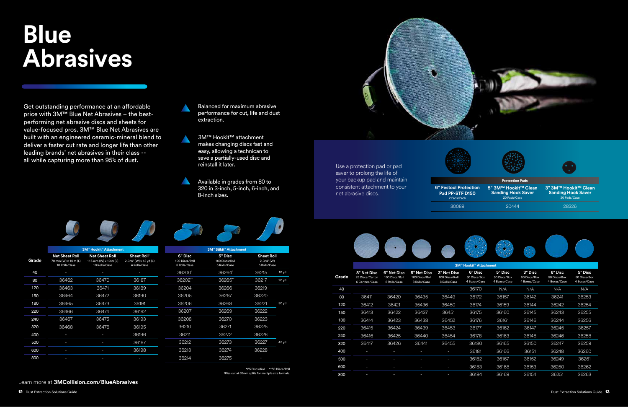Balanced for maximum abrasive performance for cut, life and dust extraction.

3M™ Hookit™ attachment makes changing discs fast and easy, allowing a technican to save a partially-used disc and reinstall it later.

Available in grades from 80 to 320 in 3-inch, 5-inch, 6-inch, and 8-inch sizes.

Use a protection pad or pad saver to prolong the life of your backup pad and maintain consistent attachment to your net abrasive discs.

**Protection Pads**



**6" Festool Protection Pad PP-STF D150** 2 Pads/Pack



**Sanding Hook Saver**

**5" 3M™ Hookit™ Clean 3" 3M™ Hookit™ Clean Sanding Hook Saver** 20 Pads/Case

20 Pads/Case 30089 20444 28326







Get outstanding performance at an affordable price with 3M™ Blue Net Abrasives – the bestperforming net abrasive discs and sheets for value-focused pros. 3M™ Blue Net Abrasives are built with an engineered ceramic-mineral blend to deliver a faster cut rate and longer life than other leading brands' net abrasives in their class - all while capturing more than 95% of dust.

Learn more at **3MCollision.com/BlueAbrasives**

# **Blue Abrasives**

 \*25 Discs/Roll \*\*50 Discs/Roll †Kiss cut at 69mm splits for multiple size formats.

|       |                                                                | <b>3M™ Hookit™ Attachment</b>                                   |                                                                   |                                           | 3M™ Stikit™ Attachment                    |                                                     |                  |
|-------|----------------------------------------------------------------|-----------------------------------------------------------------|-------------------------------------------------------------------|-------------------------------------------|-------------------------------------------|-----------------------------------------------------|------------------|
| Grade | <b>Net Sheet Roll</b><br>70 mm (W) x 10 m (L)<br>10 Rolls/Case | <b>Net Sheet Roll</b><br>115 mm (W) x 10 m (L)<br>10 Rolls/Case | Sheet Roll <sup>+</sup><br>2-3/4" (W) x 13 yd (L)<br>4 Rolls/Case | 6" Disc<br>100 Discs/Roll<br>5 Rolls/Case | 5" Disc<br>100 Discs/Roll<br>5 Rolls/Case | <b>Sheet Roll</b><br>$2 - 3/4"$ (W)<br>5 Rolls/Case |                  |
| 40    |                                                                |                                                                 |                                                                   | 36200*                                    | 36264*                                    | 36215                                               | 10 <sub>yd</sub> |
| 80    | 36462                                                          | 36470                                                           | 36187                                                             | 36202**                                   | 36265**                                   | 36217                                               | $20y$ d          |
| 120   | 36463                                                          | 36471                                                           | 36189                                                             | 36204                                     | 36266                                     | 36219                                               |                  |
| 150   | 36464                                                          | 36472                                                           | 36190                                                             | 36205                                     | 36267                                     | 36220                                               |                  |
| 180   | 36465                                                          | 36473                                                           | 36191                                                             | 36206                                     | 36268                                     | 36221                                               | 30yd             |
| 220   | 36466                                                          | 36474                                                           | 36192                                                             | 36207                                     | 36269                                     | 36222                                               |                  |
| 240   | 36467                                                          | 36475                                                           | 36193                                                             | 36208                                     | 36270                                     | 36223                                               |                  |
| 320   | 36468                                                          | 36476                                                           | 36195                                                             | 36210                                     | 36271                                     | 36225                                               |                  |
| 400   |                                                                |                                                                 | 36196                                                             | 36211                                     | 36272                                     | 36226                                               |                  |
| 500   |                                                                |                                                                 | 36197                                                             | 36212                                     | 36273                                     | 36227                                               | 45 yd            |
| 600   |                                                                |                                                                 | 36198                                                             | 36213                                     | 36274                                     | 36228                                               |                  |
| 800   |                                                                |                                                                 |                                                                   | 36214                                     | 36275                                     |                                                     |                  |
|       |                                                                |                                                                 |                                                                   |                                           |                                           |                                                     |                  |

|       | <b>3M™ Hookit™ Attachment</b>                    |                                               |                                               |                                                      |                                         |                                         |                                         |                                         |                                         |  |  |
|-------|--------------------------------------------------|-----------------------------------------------|-----------------------------------------------|------------------------------------------------------|-----------------------------------------|-----------------------------------------|-----------------------------------------|-----------------------------------------|-----------------------------------------|--|--|
| Grade | 8" Net Disc<br>25 Discs/Carton<br>6 Cartons/Case | 6" Net Disc<br>100 Discs/Roll<br>8 Rolls/Case | 5" Net Disc<br>100 Discs/Roll<br>8 Rolls/Case | <b>3" Net Disc</b><br>100 Discs/Roll<br>8 Rolls/Case | 6" Disc<br>50 Discs/Box<br>4 Boxes/Case | 5" Disc<br>50 Discs/Box<br>4 Boxes/Case | 3" Disc<br>50 Discs/Box<br>4 Boxes/Case | 6" Disc<br>50 Discs/Box<br>4 Boxes/Case | 5" Disc<br>50 Discs/Box<br>4 Boxes/Case |  |  |
| 40    | I                                                | I                                             |                                               |                                                      | 36170                                   | N/A                                     | N/A                                     | N/A                                     | N/A                                     |  |  |
| 80    | 36411                                            | 36420                                         | 36435                                         | 36449                                                | 36172                                   | 36157                                   | 36142                                   | 36241                                   | 36253                                   |  |  |
| 120   | 36412                                            | 36421                                         | 35436                                         | 36450                                                | 36174                                   | 36159                                   | 36144                                   | 36242                                   | 36254                                   |  |  |
| 150   | 36413                                            | 36422                                         | 36437                                         | 36451                                                | 36175                                   | 36160                                   | 36145                                   | 36243                                   | 36255                                   |  |  |
| 180   | 36414                                            | 36423                                         | 36438                                         | 36452                                                | 36176                                   | 36161                                   | 36146                                   | 36244                                   | 36256                                   |  |  |
| 220   | 36415                                            | 36424                                         | 36439                                         | 36453                                                | 36177                                   | 36162                                   | 36147                                   | 36245                                   | 36257                                   |  |  |
| 240   | 36416                                            | 36425                                         | 36440                                         | 36454                                                | 36178                                   | 36163                                   | 36148                                   | 36246                                   | 36258                                   |  |  |
| 320   | 36417                                            | 36426                                         | 36441                                         | 36455                                                | 36180                                   | 36165                                   | 36150                                   | 36247                                   | 36259                                   |  |  |
| 400   | ı                                                | I                                             | I                                             |                                                      | 36181                                   | 36166                                   | 36151                                   | 36248                                   | 36260                                   |  |  |
| 500   | ı                                                | I                                             | ı                                             | ı                                                    | 36182                                   | 36167                                   | 36152                                   | 36249                                   | 36261                                   |  |  |
| 600   |                                                  | I                                             | ı                                             |                                                      | 36183                                   | 36168                                   | 36153                                   | 36250                                   | 36262                                   |  |  |
| 800   |                                                  |                                               |                                               |                                                      | 36184                                   | 36169                                   | 36154                                   | 36251                                   | 36263                                   |  |  |
|       |                                                  |                                               |                                               |                                                      |                                         |                                         |                                         |                                         |                                         |  |  |